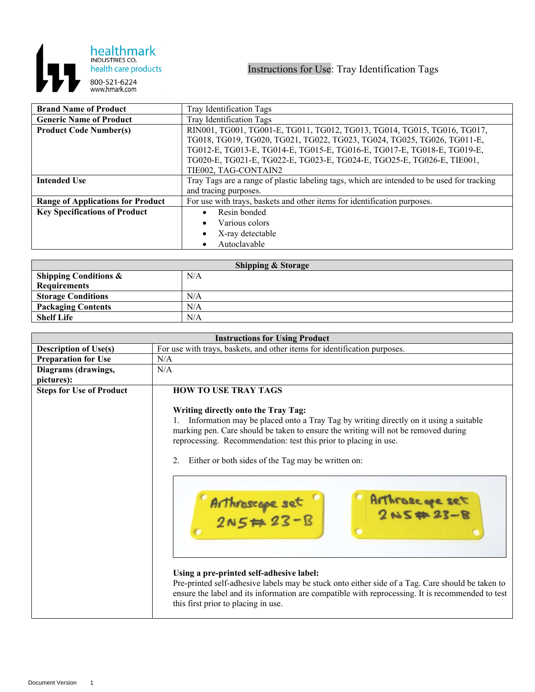

| <b>Brand Name of Product</b>             | Tray Identification Tags                                                                   |
|------------------------------------------|--------------------------------------------------------------------------------------------|
| <b>Generic Name of Product</b>           | Tray Identification Tags                                                                   |
| <b>Product Code Number(s)</b>            | RIN001, TG001, TG001-E, TG011, TG012, TG013, TG014, TG015, TG016, TG017,                   |
|                                          | TG018, TG019, TG020, TG021, TG022, TG023, TG024, TG025, TG026, TG011-E,                    |
|                                          | TG012-E, TG013-E, TG014-E, TG015-E, TG016-E, TG017-E, TG018-E, TG019-E,                    |
|                                          | TG020-E, TG021-E, TG022-E, TG023-E, TG024-E, TGO25-E, TG026-E, TIE001,                     |
|                                          | TIE002, TAG-CONTAIN2                                                                       |
| <b>Intended Use</b>                      | Tray Tags are a range of plastic labeling tags, which are intended to be used for tracking |
|                                          | and tracing purposes.                                                                      |
| <b>Range of Applications for Product</b> | For use with trays, baskets and other items for identification purposes.                   |
| <b>Key Specifications of Product</b>     | Resin bonded                                                                               |
|                                          | Various colors                                                                             |
|                                          | X-ray detectable                                                                           |
|                                          | Autoclavable                                                                               |

| <b>Shipping &amp; Storage</b>    |     |  |
|----------------------------------|-----|--|
| <b>Shipping Conditions &amp;</b> | N/A |  |
| <b>Requirements</b>              |     |  |
| <b>Storage Conditions</b>        | N/A |  |
| <b>Packaging Contents</b>        | N/A |  |
| <b>Shelf Life</b>                | N/A |  |

| <b>Instructions for Using Product</b> |                                                                                                                                                                                                                                                                                                                                                                                                                                                                                                                                                                                                                                                                                                            |
|---------------------------------------|------------------------------------------------------------------------------------------------------------------------------------------------------------------------------------------------------------------------------------------------------------------------------------------------------------------------------------------------------------------------------------------------------------------------------------------------------------------------------------------------------------------------------------------------------------------------------------------------------------------------------------------------------------------------------------------------------------|
| <b>Description of Use(s)</b>          | For use with trays, baskets, and other items for identification purposes.                                                                                                                                                                                                                                                                                                                                                                                                                                                                                                                                                                                                                                  |
| <b>Preparation for Use</b>            | N/A                                                                                                                                                                                                                                                                                                                                                                                                                                                                                                                                                                                                                                                                                                        |
| Diagrams (drawings,                   | N/A                                                                                                                                                                                                                                                                                                                                                                                                                                                                                                                                                                                                                                                                                                        |
| pictures):                            |                                                                                                                                                                                                                                                                                                                                                                                                                                                                                                                                                                                                                                                                                                            |
| <b>Steps for Use of Product</b>       | <b>HOW TO USE TRAY TAGS</b>                                                                                                                                                                                                                                                                                                                                                                                                                                                                                                                                                                                                                                                                                |
|                                       | Writing directly onto the Tray Tag:<br>Information may be placed onto a Tray Tag by writing directly on it using a suitable<br>marking pen. Care should be taken to ensure the writing will not be removed during<br>reprocessing. Recommendation: test this prior to placing in use.<br>2.<br>Either or both sides of the Tag may be written on:<br>Arthroscape set<br>2NS#23-B<br>Arthroscope set<br>2N5#23-B<br>Using a pre-printed self-adhesive label:<br>Pre-printed self-adhesive labels may be stuck onto either side of a Tag. Care should be taken to<br>ensure the label and its information are compatible with reprocessing. It is recommended to test<br>this first prior to placing in use. |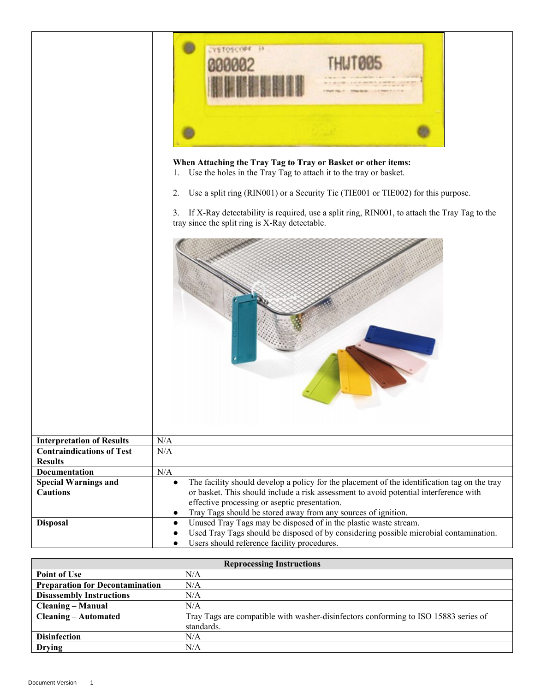|                                                    | When Attaching the Tray Tag to Tray or Basket or other items:<br>Use the holes in the Tray Tag to attach it to the tray or basket.<br>1.                                                                                           |
|----------------------------------------------------|------------------------------------------------------------------------------------------------------------------------------------------------------------------------------------------------------------------------------------|
|                                                    | Use a split ring (RIN001) or a Security Tie (TIE001 or TIE002) for this purpose.<br>2.                                                                                                                                             |
|                                                    |                                                                                                                                                                                                                                    |
|                                                    | If X-Ray detectability is required, use a split ring, RIN001, to attach the Tray Tag to the<br>3.<br>tray since the split ring is X-Ray detectable.                                                                                |
|                                                    |                                                                                                                                                                                                                                    |
| <b>Interpretation of Results</b>                   | N/A                                                                                                                                                                                                                                |
| <b>Contraindications of Test</b><br><b>Results</b> | N/A                                                                                                                                                                                                                                |
| <b>Documentation</b>                               | $\rm N/A$                                                                                                                                                                                                                          |
| <b>Special Warnings and</b>                        | The facility should develop a policy for the placement of the identification tag on the tray<br>$\bullet$                                                                                                                          |
| <b>Cautions</b>                                    | or basket. This should include a risk assessment to avoid potential interference with<br>effective processing or aseptic presentation.                                                                                             |
|                                                    | Tray Tags should be stored away from any sources of ignition.<br>$\bullet$                                                                                                                                                         |
| <b>Disposal</b>                                    | Unused Tray Tags may be disposed of in the plastic waste stream.<br>$\bullet$<br>Used Tray Tags should be disposed of by considering possible microbial contamination.<br>Users should reference facility procedures.<br>$\bullet$ |

| <b>Reprocessing Instructions</b>       |                                                                                     |
|----------------------------------------|-------------------------------------------------------------------------------------|
| <b>Point of Use</b>                    | N/A                                                                                 |
| <b>Preparation for Decontamination</b> | N/A                                                                                 |
| <b>Disassembly Instructions</b>        | N/A                                                                                 |
| <b>Cleaning – Manual</b>               | N/A                                                                                 |
| <b>Cleaning – Automated</b>            | Tray Tags are compatible with washer-disinfectors conforming to ISO 15883 series of |
|                                        | standards.                                                                          |
| <b>Disinfection</b>                    | N/A                                                                                 |
| <b>Drying</b>                          | N/A                                                                                 |